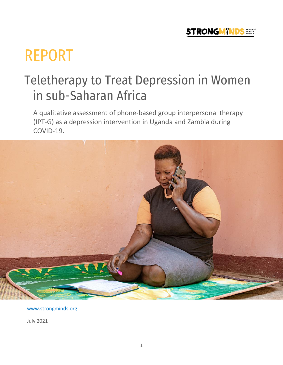

# REPORT

## Teletherapy to Treat Depression in Women in sub-Saharan Africa

A qualitative assessment of phone-based group interpersonal therapy (IPT-G) as a depression intervention in Uganda and Zambia during COVID-19.



[www.strongminds.org](http://www.strongminds.org/)

July 2021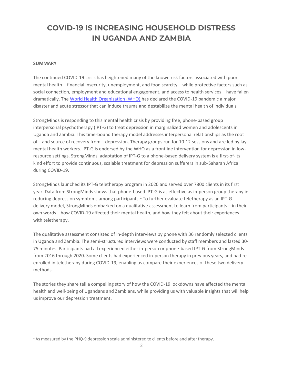### **COVID-19 IS INCREASING HOUSEHOLD DISTRESS IN UGANDA AND ZAMBIA**

#### **SUMMARY**

The continued COVID-19 crisis has heightened many of the known risk factors associated with poor mental health – financial insecurity, unemployment, and food scarcity – while protective factors such as social connection, employment and educational engagement, and access to health services – have fallen dramatically. The [World Health Organization \(WHO\)](https://www.who.int/teams/mental-health-and-substance-use/covid-19) has declared the COVID-19 pandemic a major disaster and acute stressor that can induce trauma and destabilize the mental health of individuals.

StrongMinds is responding to this mental health crisis by providing free, phone-based group interpersonal psychotherapy (IPT-G) to treat depression in marginalized women and adolescents in Uganda and Zambia. This time-bound therapy model addresses interpersonal relationships as the root of—and source of recovery from—depression. Therapy groups run for 10-12 sessions and are led by lay mental health workers. IPT-G is endorsed by the WHO as a frontline intervention for depression in lowresource settings. StrongMinds' adaptation of IPT-G to a phone-based delivery system is a first-of-its kind effort to provide continuous, scalable treatment for depression sufferers in sub-Saharan Africa during COVID-19.

StrongMinds launched its IPT-G teletherapy program in 2020 and served over 7800 clients in its first year. Data from StrongMinds shows that phone-based IPT-G is as effective as in-person group therapy in reducing depression symptoms among participants.<sup>1</sup> To further evaluate teletherapy as an IPT-G delivery model, StrongMinds embarked on a qualitative assessment to learn from participants—in their own words—how COVID-19 affected their mental health, and how they felt about their experiences with teletherapy.

The qualitative assessment consisted of in-depth interviews by phone with 36 randomly selected clients in Uganda and Zambia. The semi-structured interviews were conducted by staff members and lasted 30- 75 minutes. Participants had all experienced either in-person or phone-based IPT-G from StrongMinds from 2016 through 2020. Some clients had experienced in-person therapy in previous years, and had reenrolled in teletherapy during COVID-19, enabling us compare their experiences of these two delivery methods.

The stories they share tell a compelling story of how the COVID-19 lockdowns have affected the mental health and well-being of Ugandans and Zambians, while providing us with valuable insights that will help us improve our depression treatment.

<sup>&</sup>lt;sup>1</sup> As measured by the PHQ-9 depression scale administered to clients before and after therapy.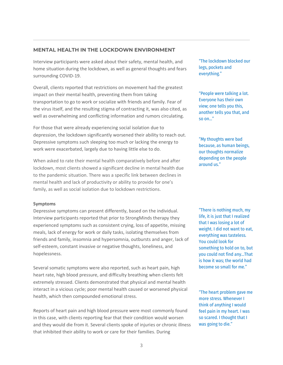#### **MENTAL HEALTH IN THE LOCKDOWN ENVIRONMENT**

Interview participants were asked about their safety, mental health, and home situation during the lockdown, as well as general thoughts and fears surrounding COVID-19.

Overall, clients reported that restrictions on movement had the greatest impact on their mental health, preventing them from taking transportation to go to work or socialize with friends and family. Fear of the virus itself, and the resulting stigma of contracting it, was also cited, as well as overwhelming and conflicting information and rumors circulating.

For those that were already experiencing social isolation due to depression, the lockdown significantly worsened their ability to reach out. Depressive symptoms such sleeping too much or lacking the energy to work were exacerbated, largely due to having little else to do.

When asked to rate their mental health comparatively before and after lockdown, most clients showed a significant decline in mental health due to the pandemic situation. There was a specific link between declines in mental health and lack of productivity or ability to provide for one's family, as well as social isolation due to lockdown restrictions.

#### **Symptoms**

Depressive symptoms can present differently, based on the individual. Interview participants reported that prior to StrongMinds therapy they experienced symptoms such as consistent crying, loss of appetite, missing meals, lack of energy for work or daily tasks, isolating themselves from friends and family, insomnia and hypersomnia, outbursts and anger, lack of self-esteem, constant invasive or negative thoughts, loneliness, and hopelessness.

Several somatic symptoms were also reported, such as heart pain, high heart rate, high blood pressure, and difficulty breathing when clients felt extremely stressed. Clients demonstrated that physical and mental health interact in a vicious cycle; poor mental health caused or worsened physical health, which then compounded emotional stress.

Reports of heart pain and high blood pressure were most commonly found in this case, with clients reporting fear that their condition would worsen and they would die from it. Several clients spoke of injuries or chronic illness that inhibited their ability to work or care for their families. During

"The lockdown blocked our legs, pockets and everything."

"People were talking a lot. Everyone has their own view; one tells you this, another tells you that, and so on…"

"My thoughts were bad because, as human beings, our thoughts normalize depending on the people around us."

"There is nothing much, my life, it is just that I realized that I was losing a lot of weight. I did not want to eat, everything was tasteless. You could look for something to hold on to, but you could not find any…That is how it was; the world had become so small for me."

"The heart problem gave me more stress. Whenever I think of anything I would feel pain in my heart. I was so scared. I thought that I was going to die."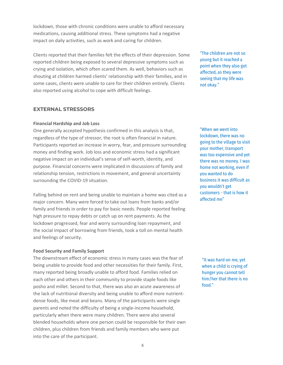lockdown, those with chronic conditions were unable to afford necessary medications, causing additional stress. These symptoms had a negative impact on daily activities, such as work and caring for children.

Clients reported that their families felt the effects of their depression. Some reported children being exposed to several depressive symptoms such as crying and isolation, which often scared them. As well, behaviors such as shouting at children harmed clients' relationship with their families, and in some cases, clients were unable to care for their children entirely. Clients also reported using alcohol to cope with difficult feelings.

"The children are not so young but it reached a point when they also got affected, as they were seeing that my life was not okay."

#### **EXTERNAL STRESSORS**

#### **Financial Hardship and Job Loss**

One generally accepted hypothesis confirmed in this analysis is that, regardless of the type of stressor, the root is often financial in nature. Participants reported an increase in worry, fear, and pressure surrounding money and finding work. Job loss and economic stress had a significant negative impact on an individual's sense of self-worth, identity, and purpose. Financial concerns were implicated in discussions of family and relationship tension, restrictions in movement, and general uncertainty surrounding the COVID-19 situation.

Falling behind on rent and being unable to maintain a home was cited as a major concern. Many were forced to take out loans from banks and/or family and friends in order to pay for basic needs. People reported feeling high pressure to repay debts or catch up on rent payments. As the lockdown progressed, fear and worry surrounding loan repayment, and the social impact of borrowing from friends, took a toll on mental health and feelings of security.

#### **Food Security and Family Support**

The downstream effect of economic stress in many cases was the fear of being unable to provide food and other necessities for their family. First, many reported being broadly unable to afford food. Families relied on each other and others in their community to provide staple foods like posho and millet. Second to that, there was also an acute awareness of the lack of nutritional diversity and being unable to afford more nutrientdense foods, like meat and beans. Many of the participants were single parents and noted the difficulty of being a single-income household, particularly when there were many children. There were also several blended households where one person could be responsible for their own children, plus children from friends and family members who were put into the care of the participant.

"When we went into lockdown, there was no going to the village to visit your mother, transport was too expensive and yet there was no money. I was home not working, even if you wanted to do business it was difficult as you wouldn't get customers - that is how it affected me"

"It was hard on me, yet when a child is crying of hunger you cannot tell him/her that there is no food."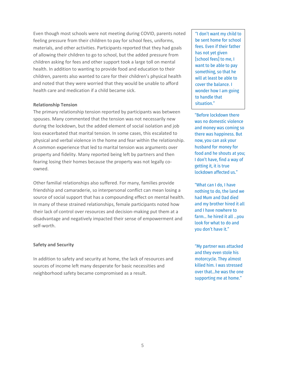Even though most schools were not meeting during COVID, parents noted feeling pressure from their children to pay for school fees, uniforms, materials, and other activities. Participants reported that they had goals of allowing their children to go to school, but the added pressure from children asking for fees and other support took a large toll on mental health. In addition to wanting to provide food and education to their children, parents also wanted to care for their children's physical health and noted that they were worried that they would be unable to afford health care and medication if a child became sick.

#### **Relationship Tension**

The primary relationship tension reported by participants was between spouses. Many commented that the tension was not necessarily new during the lockdown, but the added element of social isolation and job loss exacerbated that marital tension. In some cases, this escalated to physical and verbal violence in the home and fear within the relationship. A common experience that led to marital tension was arguments over property and fidelity. Many reported being left by partners and then fearing losing their homes because the property was not legally coowned.

Other familial relationships also suffered. For many, families provide friendship and camaraderie, so interpersonal conflict can mean losing a source of social support that has a compounding effect on mental health. In many of these strained relationships, female participants noted how their lack of control over resources and decision-making put them at a disadvantage and negatively impacted their sense of empowerment and self-worth.

#### **Safety and Security**

In addition to safety and security at home, the lack of resources and sources of income left many desperate for basic necessities and neighborhood safety became compromised as a result.

"I don't want my child to be sent home for school fees. Even if their father has not yet given [school fees] to me, I want to be able to pay something, so that he will at least be able to cover the balance. I wonder how I am going to handle that situation."

"Before lockdown there was no domestic violence and money was coming so there was happiness. But now, you can ask your husband for money for food and he shouts at you; I don't have, find a way of getting it, it is true lockdown affected us."

"What can I do, I have nothing to do, the land we had Mum and Dad died and my brother hired it all and I have nowhere to farm... he hired it all …you look for what to do and you don't have it."

"My partner was attacked and they even stole his motorcycle. They almost killed him. I was stressed over that...he was the one supporting me at home."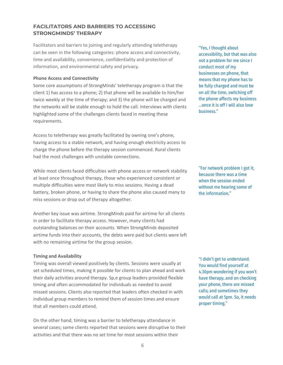#### **FACILITATORS AND BARRIERS TO ACCESSING STRONGMINDS' THERAPY**

Facilitators and barriers to joining and regularly attending teletherapy can be seen in the following categories: phone access and connectivity, time and availability, convenience, confidentiality and protection of information, and environmental safety and privacy.

#### **Phone Access and Connectivity**

Some core assumptions of StrongMinds' teletherapy program is that the client 1) has access to a phone; 2) that phone will be available to him/her twice weekly at the time of therapy; and 3) the phone will be charged and the networks will be stable enough to hold the call. Interviews with clients highlighted some of the challenges clients faced in meeting these requirements.

Access to teletherapy was greatly facilitated by owning one's phone, having access to a stable network, and having enough electricity access to charge the phone before the therapy session commenced. Rural clients had the most challenges with unstable connections.

While most clients faced difficulties with phone access or network stability at least once throughout therapy, those who experienced consistent or multiple difficulties were most likely to miss sessions. Having a dead battery, broken phone, or having to share the phone also caused many to miss sessions or drop out of therapy altogether.

Another key issue was airtime. StrongMinds paid for airtime for all clients in order to facilitate therapy access. However, many clients had outstanding balances on their accounts. When StrongMinds deposited airtime funds into their accounts, the debts were paid but clients were left with no remaining airtime for the group session.

#### **Timing and Availability**

Timing was overall viewed positively by clients. Sessions were usually at set scheduled times, making it possible for clients to plan ahead and work their daily activities around therapy. Sp,e group leaders provided flexible timing and often accommodated for individuals as needed to avoid missed sessions. Clients also reported that leaders often checked in with individual group members to remind them of session times and ensure that all members could attend.

On the other hand, timing was a barrier to teletherapy attendance in several cases; some clients reported that sessions were disruptive to their activities and that there was no set time for most sessions within their

"Yes, I thought about accessibility, but that was also not a problem for me since I conduct most of my businesses on phone, that means that my phone has to be fully charged and must be on all the time, switching off the phone affects my business …once it is off I will also lose business."

"For network problem I got it, because there was a time when the session ended without me hearing some of the information."

"I didn't get to understand. You would find yourself at 4.30pm wondering if you won't have therapy, and on checking your phone, there are missed calls; and sometimes they would call at 5pm. So, it needs proper timing."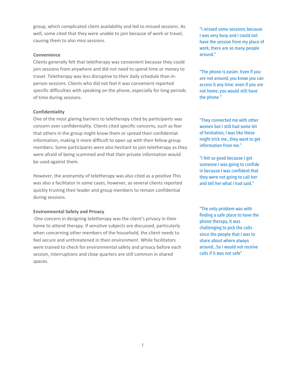group, which complicated client availability and led to missed sessions. As well, some cited that they were unable to join because of work or travel, causing them to also miss sessions.

#### **Convenience**

Clients generally felt that teletherapy was convenient because they could join sessions from anywhere and did not need to spend time or money to travel. Teletherapy was less disruptive to their daily schedule than inperson sessions. Clients who did not feel it was convenient reported specific difficulties with speaking on the phone, especially for long periods of time during sessions.

#### **Confidentiality**

One of the most glaring barriers to teletherapy cited by participants was concern over confidentiality. Clients cited specific concerns, such as fear that others in the group might know them or spread their confidential information, making it more difficult to open up with their fellow group members. Some participants were also hesitant to join teletherapy as they were afraid of being scammed and that their private information would be used against them.

However, the anonymity of teletherapy was also cited as a positive This was also a facilitator in some cases, however, as several clients reported quickly trusting their leader and group members to remain confidential during sessions.

#### **Environmental Safety and Privacy**

One concern in designing teletherapy was the client's privacy in their home to attend therapy. If sensitive subjects are discussed, particularly when concerning other members of the household, the client needs to feel secure and unthreatened in their environment. While facilitators were trained to check for environmental safety and privacy before each session, interruptions and close quarters are still common in shared spaces.

"I missed some sessions because I was very busy and I could not have the session from my place of work, there are so many people around."

"The phone is easier. Even if you are not around, you know you can access it any time. even if you are not home, you would still have the phone."

"They connected me with other women but I still had some bit of hesitation, I was like these might trick me…they want to get information from me."

"I felt so good because I got someone I was going to confide in because I was confident that they were not going to call her and tell her what I had said."

"The only problem was with finding a safe place to have the phone therapy, it was challenging to pick the calls since the people that I was to share about where always around…So I would not receive calls if it was not safe"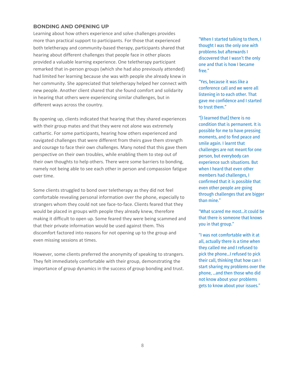#### **BONDING AND OPENING UP**

Learning about how others experience and solve challenges provides more than practical support to participants. For those that experienced both teletherapy and community-based therapy, participants shared that hearing about different challenges that people face in other places provided a valuable learning experience. One teletherapy participant remarked that in-person groups (which she had also previously attended) had limited her learning because she was with people she already knew in her community. She appreciated that teletherapy helped her connect with new people. Another client shared that she found comfort and solidarity in hearing that others were experiencing similar challenges, but in different ways across the country.

By opening up, clients indicated that hearing that they shared experiences with their group mates and that they were not alone was extremely cathartic. For some participants, hearing how others experienced and navigated challenges that were different from theirs gave them strength and courage to face their own challenges. Many noted that this gave them perspective on their own troubles, while enabling them to step out of their own thoughts to help others. There were some barriers to bonding, namely not being able to see each other in person and compassion fatigue over time.

Some clients struggled to bond over teletherapy as they did not feel comfortable revealing personal information over the phone, especially to strangers whom they could not see face-to-face. Clients feared that they would be placed in groups with people they already knew, therefore making it difficult to open up. Some feared they were being scammed and that their private information would be used against them. This discomfort factored into reasons for not opening up to the group and even missing sessions at times.

However, some clients preferred the anonymity of speaking to strangers. They felt immediately comfortable with their group, demonstrating the importance of group dynamics in the success of group bonding and trust.

"When I started talking to them, I thought I was the only one with problems but afterwards I discovered that I wasn't the only one and that is how I became free."

"Yes, because it was like a conference call and we were all listening in to each other. That gave me confidence and I started to trust them."

"[I learned that] there is no condition that is permanent. It is possible for me to have pressing moments, and to find peace and smile again. I learnt that challenges are not meant for one person, but everybody can experience such situations. But when I heard that even other members had challenges, I confirmed that it is possible that even other people are going through challenges that are bigger than mine."

"What scared me most…it could be that there is someone that knows you in that group."

"I was not comfortable with it at all, actually there is a time when they called me and I refused to pick the phone…I refused to pick their call, thinking that how can I start sharing my problems over the phone, …and then those who did not know about your problems gets to know about your issues."